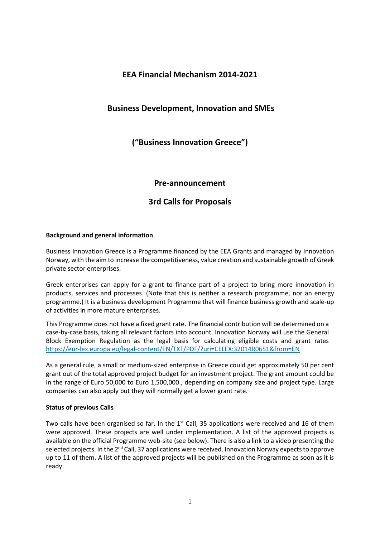# **EEA Financial Mechanism 2014-2021**

# **Business Development, Innovation and SMEs**

**("Business Innovation Greece")**

## **Pre-announcement**

# **3rd Calls for Proposals**

### **Background and general information**

Business Innovation Greece is a Programme financed by the EEA Grants and managed by Innovation Norway, with the aim to increase the competitiveness, value creation and sustainable growth of Greek private sector enterprises.

Greek enterprises can apply for a grant to finance part of a project to bring more innovation in products, services and processes. (Note that this is neither a research programme, nor an energy programme.) It is a business development Programme that will finance business growth and scale-up of activities in more mature enterprises.

This Programme does not have a fixed grant rate. The financial contribution will be determined on a case-by-case basis, taking all relevant factors into account. Innovation Norway will use the General Block Exemption Regulation as the legal basis for calculating eligible costs and grant rates <https://eur-lex.europa.eu/legal-content/EN/TXT/PDF/?uri=CELEX:32014R0651&from=EN>

As a general rule, a small or medium-sized enterprise in Greece could get approximately 50 per cent grant out of the total approved project budget for an investment project. The grant amount could be in the range of Euro 50,000 to Euro 1,500,000., depending on company size and project type. Large companies can also apply but they will normally get a lower grant rate.

### **Status of previous Calls**

Two calls have been organised so far. In the  $1<sup>st</sup>$  Call, 35 applications were received and 16 of them were approved. These projects are well under implementation. A list of the approved projects is available on the official Programme web-site (see below). There is also a link to a video presenting the selected projects. In the 2<sup>nd</sup> Call, 37 applications were received. Innovation Norway expects to approve up to 11 of them. A list of the approved projects will be published on the Programme as soon as it is ready.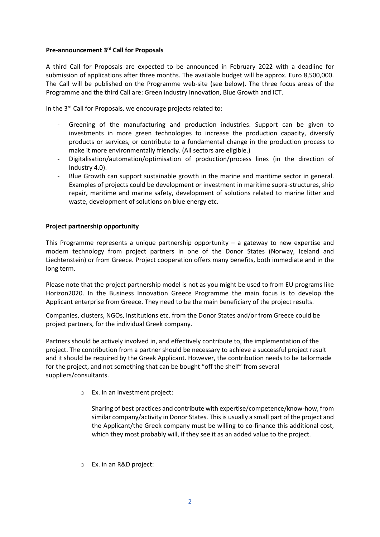### **Pre-announcement 3rd Call for Proposals**

A third Call for Proposals are expected to be announced in February 2022 with a deadline for submission of applications after three months. The available budget will be approx. Euro 8,500,000. The Call will be published on the Programme web-site (see below). The three focus areas of the Programme and the third Call are: Green Industry Innovation, Blue Growth and ICT.

In the 3<sup>rd</sup> Call for Proposals, we encourage projects related to:

- Greening of the manufacturing and production industries. Support can be given to investments in more green technologies to increase the production capacity, diversify products or services, or contribute to a fundamental change in the production process to make it more environmentally friendly. (All sectors are eligible.)
- Digitalisation/automation/optimisation of production/process lines (in the direction of Industry 4.0).
- Blue Growth can support sustainable growth in the marine and maritime sector in general. Examples of projects could be development or investment in maritime supra-structures, ship repair, maritime and marine safety, development of solutions related to marine litter and waste, development of solutions on blue energy etc.

### **Project partnership opportunity**

This Programme represents a unique partnership opportunity  $-$  a gateway to new expertise and modern technology from project partners in one of the Donor States (Norway, Iceland and Liechtenstein) or from Greece. Project cooperation offers many benefits, both immediate and in the long term.

Please note that the project partnership model is not as you might be used to from EU programs like Horizon2020. In the Business Innovation Greece Programme the main focus is to develop the Applicant enterprise from Greece. They need to be the main beneficiary of the project results.

Companies, clusters, NGOs, institutions etc. from the Donor States and/or from Greece could be project partners, for the individual Greek company.

Partners should be actively involved in, and effectively contribute to, the implementation of the project. The contribution from a partner should be necessary to achieve a successful project result and it should be required by the Greek Applicant. However, the contribution needs to be tailormade for the project, and not something that can be bought "off the shelf" from several suppliers/consultants.

o Ex. in an investment project:

Sharing of best practices and contribute with expertise/competence/know-how, from similar company/activity in Donor States. This is usually a small part of the project and the Applicant/the Greek company must be willing to co-finance this additional cost, which they most probably will, if they see it as an added value to the project.

o Ex. in an R&D project: